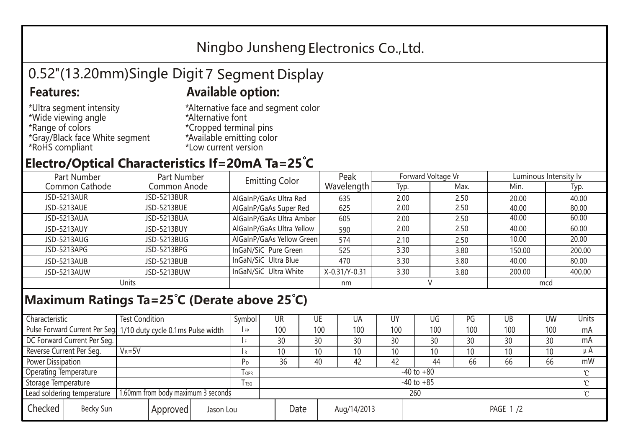## Ningbo Junsheng Electronics Co.,Ltd.

# 0.52"(13.20mm)Single Digit 7 Segment Display

#### **Features: Available option:**

- \*Ultra segment intensity \*Wide viewing angle \*Range of colors \*Gray/Black face White segment \*RoHS compliant
- \*Alternative face and segment color \*Alternative font \*Cropped terminal pins \*Available emitting color \*Low current version

#### **Electro/Optical Characteristics If=20mA Ta=25 C**

| Part Number    | Part Number        | <b>Emitting Color</b>     | Peak          | Forward Voltage VF |      | Luminous Intensity Iv |        |  |
|----------------|--------------------|---------------------------|---------------|--------------------|------|-----------------------|--------|--|
| Common Cathode | Common Anode       |                           | Wavelength    | Typ.               | Max. | Min.                  | Typ.   |  |
| JSD-5213AUR    | <b>JSD-5213BUR</b> | AlGaInP/GaAs Ultra Red    | 635           | 2.00               | 2.50 | 20.00                 | 40.00  |  |
| JSD-5213AUE    | JSD-5213BUE        | AlGaInP/GaAs Super Red    | 625           | 2.00               | 2.50 | 40.00                 | 80.00  |  |
| JSD-5213AUA    | JSD-5213BUA        | AlGaInP/GaAs Ultra Amber  | 605           | 2.00               | 2.50 | 40.00                 | 60.00  |  |
| JSD-5213AUY    | JSD-5213BUY        | AlGaInP/GaAs Ultra Yellow | 590           | 2.00               | 2.50 | 40.00                 | 60.00  |  |
| JSD-5213AUG    | JSD-5213BUG        | AlGaInP/GaAs Yellow Green | 574           | 2.10               | 2.50 | 10.00                 | 20.00  |  |
| JSD-5213APG    | JSD-5213BPG        | InGaN/SiC Pure Green      | 525           | 3.30               | 3.80 | 150.00                | 200.00 |  |
| JSD-5213AUB    | JSD-5213BUB        | InGaN/SiC Ultra Blue      | 470           | 3.30               | 3.80 | 40.00                 | 80.00  |  |
| JSD-5213AUW    | JSD-5213BUW        | InGaN/SiC Ultra White     | X-0.31/Y-0.31 | 3.30               | 3.80 | 200.00                | 400.00 |  |
| Units          |                    |                           | nm            |                    |      | mcd                   |        |  |

### **Maximum Ratings Ta=25°C (Derate above 25°C)**

| Characteristic                                                   |  | <b>Test Condition</b><br>Symbol                                  |                |                     | UR  | UE  |  | UA       | UY  | UG              | PG  | UB           | <b>UW</b> | Units   |
|------------------------------------------------------------------|--|------------------------------------------------------------------|----------------|---------------------|-----|-----|--|----------|-----|-----------------|-----|--------------|-----------|---------|
|                                                                  |  | Pulse Forward Current Per Seg. 1/10 duty cycle 0.1ms Pulse width |                |                     | 100 | 100 |  | 100      | 100 | 100             | 100 | 100          | 100       | mA      |
| DC Forward Current Per Seg.                                      |  |                                                                  |                |                     | 30  | 30  |  | 30       | 30  | 30              | 30  | 30           | 30        | mA      |
| Reverse Current Per Seg.                                         |  | $V_R = 5V$                                                       |                | I R                 | 10  | 10  |  | 10       | 10  | 10 <sup>°</sup> | 10  | 10           | 10        | $\mu$ A |
| <b>Power Dissipation</b>                                         |  |                                                                  |                | P <sub>D</sub>      | 36  | 40  |  | 42       | 42  | 44              | 66  | 66           | 66        | mW      |
| <b>Operating Temperature</b>                                     |  |                                                                  | $I$ OPR        | $-40$ to $+80$      |     |     |  |          |     |                 |     | $\gamma$     |           |         |
| Storage Temperature                                              |  | I TSG                                                            | $-40$ to $+85$ |                     |     |     |  |          |     |                 |     | $^{\circ}$ C |           |         |
| 1.60mm from body maximum 3 seconds<br>Lead soldering temperature |  |                                                                  |                | 260                 |     |     |  |          |     |                 |     |              |           |         |
| Checked<br>Becky Sun<br>Approved<br>Jason Lou                    |  |                                                                  |                | Date<br>Aug/14/2013 |     |     |  | PAGE 1/2 |     |                 |     |              |           |         |